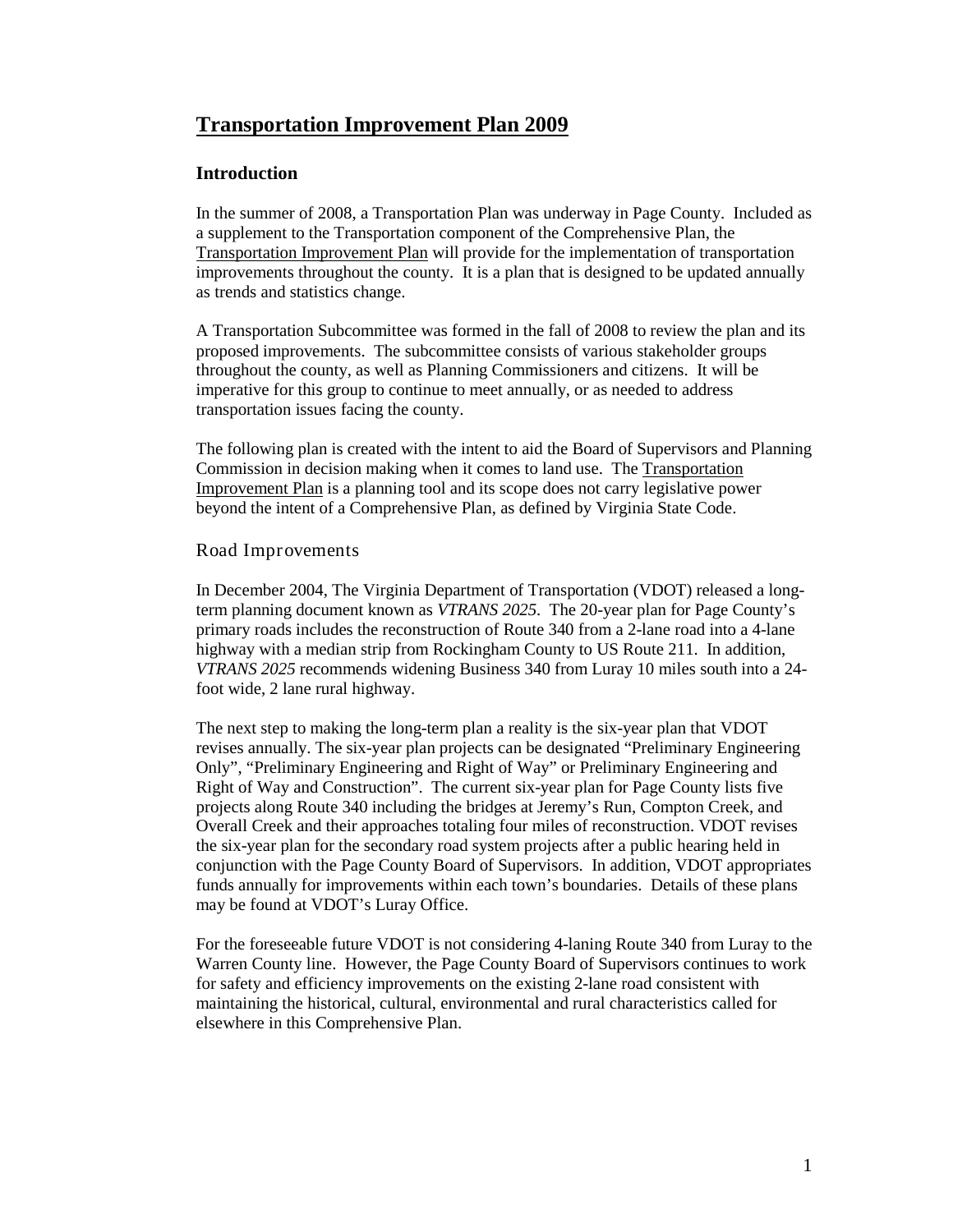## **Transportation Improvement Plan 2009**

### **Introduction**

In the summer of 2008, a Transportation Plan was underway in Page County. Included as a supplement to the Transportation component of the Comprehensive Plan, the Transportation Improvement Plan will provide for the implementation of transportation improvements throughout the county. It is a plan that is designed to be updated annually as trends and statistics change.

A Transportation Subcommittee was formed in the fall of 2008 to review the plan and its proposed improvements. The subcommittee consists of various stakeholder groups throughout the county, as well as Planning Commissioners and citizens. It will be imperative for this group to continue to meet annually, or as needed to address transportation issues facing the county.

The following plan is created with the intent to aid the Board of Supervisors and Planning Commission in decision making when it comes to land use. The Transportation Improvement Plan is a planning tool and its scope does not carry legislative power beyond the intent of a Comprehensive Plan, as defined by Virginia State Code.

#### Road Improvements

In December 2004, The Virginia Department of Transportation (VDOT) released a longterm planning document known as *VTRANS 2025*. The 20-year plan for Page County's primary roads includes the reconstruction of Route 340 from a 2-lane road into a 4-lane highway with a median strip from Rockingham County to US Route 211. In addition, *VTRANS 2025* recommends widening Business 340 from Luray 10 miles south into a 24 foot wide, 2 lane rural highway.

The next step to making the long-term plan a reality is the six-year plan that VDOT revises annually. The six-year plan projects can be designated "Preliminary Engineering Only", "Preliminary Engineering and Right of Way" or Preliminary Engineering and Right of Way and Construction". The current six-year plan for Page County lists five projects along Route 340 including the bridges at Jeremy's Run, Compton Creek, and Overall Creek and their approaches totaling four miles of reconstruction. VDOT revises the six-year plan for the secondary road system projects after a public hearing held in conjunction with the Page County Board of Supervisors. In addition, VDOT appropriates funds annually for improvements within each town's boundaries. Details of these plans may be found at VDOT's Luray Office.

For the foreseeable future VDOT is not considering 4-laning Route 340 from Luray to the Warren County line. However, the Page County Board of Supervisors continues to work for safety and efficiency improvements on the existing 2-lane road consistent with maintaining the historical, cultural, environmental and rural characteristics called for elsewhere in this Comprehensive Plan.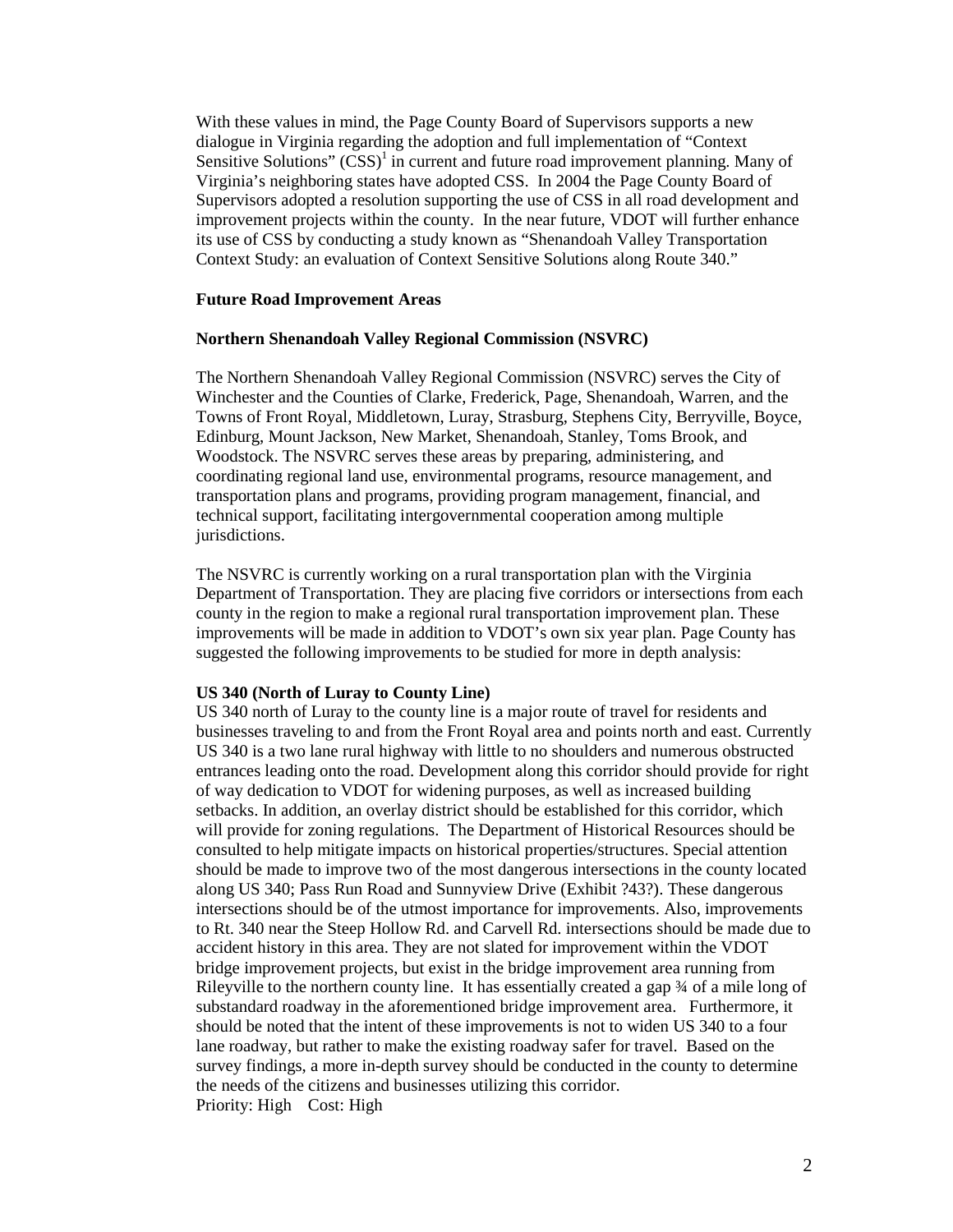With these values in mind, the Page County Board of Supervisors supports a new dialogue in Virginia regarding the adoption and full implementation of "Context Sensitive Solutions"  $(CSS)^{1}$  in current and future road improvement planning. Many of Virginia's neighboring states have adopted CSS. In 2004 the Page County Board of Supervisors adopted a resolution supporting the use of CSS in all road development and improvement projects within the county. In the near future, VDOT will further enhance its use of CSS by conducting a study known as "Shenandoah Valley Transportation Context Study: an evaluation of Context Sensitive Solutions along Route 340."

#### **Future Road Improvement Areas**

#### **Northern Shenandoah Valley Regional Commission (NSVRC)**

The Northern Shenandoah Valley Regional Commission (NSVRC) serves the City of Winchester and the Counties of Clarke, Frederick, Page, Shenandoah, Warren, and the Towns of Front Royal, Middletown, Luray, Strasburg, Stephens City, Berryville, Boyce, Edinburg, Mount Jackson, New Market, Shenandoah, Stanley, Toms Brook, and Woodstock. The NSVRC serves these areas by preparing, administering, and coordinating regional land use, environmental programs, resource management, and transportation plans and programs, providing program management, financial, and technical support, facilitating intergovernmental cooperation among multiple jurisdictions.

The NSVRC is currently working on a rural transportation plan with the Virginia Department of Transportation. They are placing five corridors or intersections from each county in the region to make a regional rural transportation improvement plan. These improvements will be made in addition to VDOT's own six year plan. Page County has suggested the following improvements to be studied for more in depth analysis:

#### **US 340 (North of Luray to County Line)**

US 340 north of Luray to the county line is a major route of travel for residents and businesses traveling to and from the Front Royal area and points north and east. Currently US 340 is a two lane rural highway with little to no shoulders and numerous obstructed entrances leading onto the road. Development along this corridor should provide for right of way dedication to VDOT for widening purposes, as well as increased building setbacks. In addition, an overlay district should be established for this corridor, which will provide for zoning regulations. The Department of Historical Resources should be consulted to help mitigate impacts on historical properties/structures. Special attention should be made to improve two of the most dangerous intersections in the county located along US 340; Pass Run Road and Sunnyview Drive (Exhibit ?43?). These dangerous intersections should be of the utmost importance for improvements. Also, improvements to Rt. 340 near the Steep Hollow Rd. and Carvell Rd. intersections should be made due to accident history in this area. They are not slated for improvement within the VDOT bridge improvement projects, but exist in the bridge improvement area running from Rileyville to the northern county line. It has essentially created a gap  $\frac{3}{4}$  of a mile long of substandard roadway in the aforementioned bridge improvement area. Furthermore, it should be noted that the intent of these improvements is not to widen US 340 to a four lane roadway, but rather to make the existing roadway safer for travel. Based on the survey findings, a more in-depth survey should be conducted in the county to determine the needs of the citizens and businesses utilizing this corridor. Priority: High Cost: High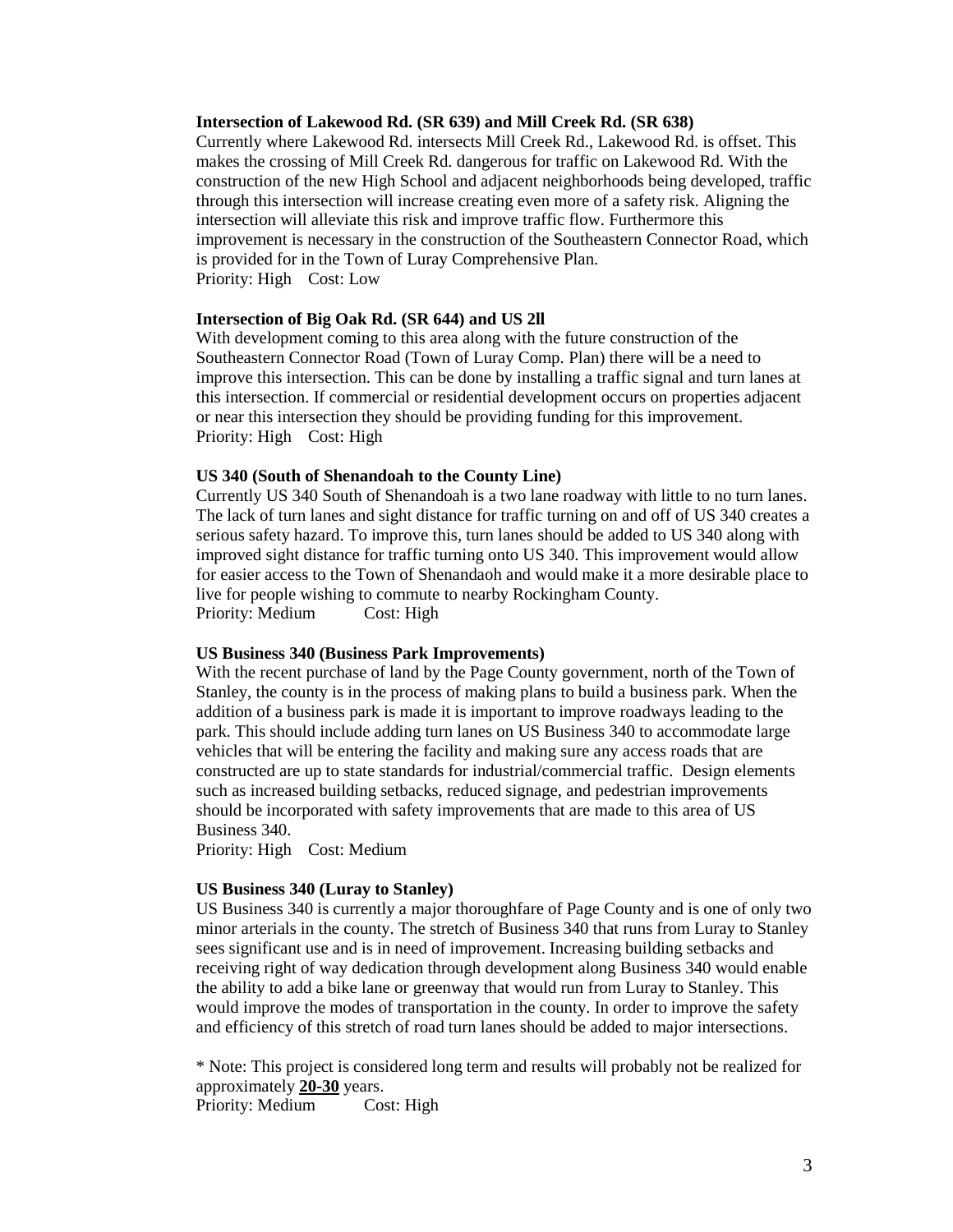#### **Intersection of Lakewood Rd. (SR 639) and Mill Creek Rd. (SR 638)**

Currently where Lakewood Rd. intersects Mill Creek Rd., Lakewood Rd. is offset. This makes the crossing of Mill Creek Rd. dangerous for traffic on Lakewood Rd. With the construction of the new High School and adjacent neighborhoods being developed, traffic through this intersection will increase creating even more of a safety risk. Aligning the intersection will alleviate this risk and improve traffic flow. Furthermore this improvement is necessary in the construction of the Southeastern Connector Road, which is provided for in the Town of Luray Comprehensive Plan. Priority: High Cost: Low

#### **Intersection of Big Oak Rd. (SR 644) and US 2ll**

With development coming to this area along with the future construction of the Southeastern Connector Road (Town of Luray Comp. Plan) there will be a need to improve this intersection. This can be done by installing a traffic signal and turn lanes at this intersection. If commercial or residential development occurs on properties adjacent or near this intersection they should be providing funding for this improvement. Priority: High Cost: High

#### **US 340 (South of Shenandoah to the County Line)**

Currently US 340 South of Shenandoah is a two lane roadway with little to no turn lanes. The lack of turn lanes and sight distance for traffic turning on and off of US 340 creates a serious safety hazard. To improve this, turn lanes should be added to US 340 along with improved sight distance for traffic turning onto US 340. This improvement would allow for easier access to the Town of Shenandaoh and would make it a more desirable place to live for people wishing to commute to nearby Rockingham County. Priority: Medium Cost: High

#### **US Business 340 (Business Park Improvements)**

With the recent purchase of land by the Page County government, north of the Town of Stanley, the county is in the process of making plans to build a business park. When the addition of a business park is made it is important to improve roadways leading to the park. This should include adding turn lanes on US Business 340 to accommodate large vehicles that will be entering the facility and making sure any access roads that are constructed are up to state standards for industrial/commercial traffic. Design elements such as increased building setbacks, reduced signage, and pedestrian improvements should be incorporated with safety improvements that are made to this area of US Business 340.

Priority: High Cost: Medium

#### **US Business 340 (Luray to Stanley)**

US Business 340 is currently a major thoroughfare of Page County and is one of only two minor arterials in the county. The stretch of Business 340 that runs from Luray to Stanley sees significant use and is in need of improvement. Increasing building setbacks and receiving right of way dedication through development along Business 340 would enable the ability to add a bike lane or greenway that would run from Luray to Stanley. This would improve the modes of transportation in the county. In order to improve the safety and efficiency of this stretch of road turn lanes should be added to major intersections.

\* Note: This project is considered long term and results will probably not be realized for approximately **20-30** years.

Priority: Medium Cost: High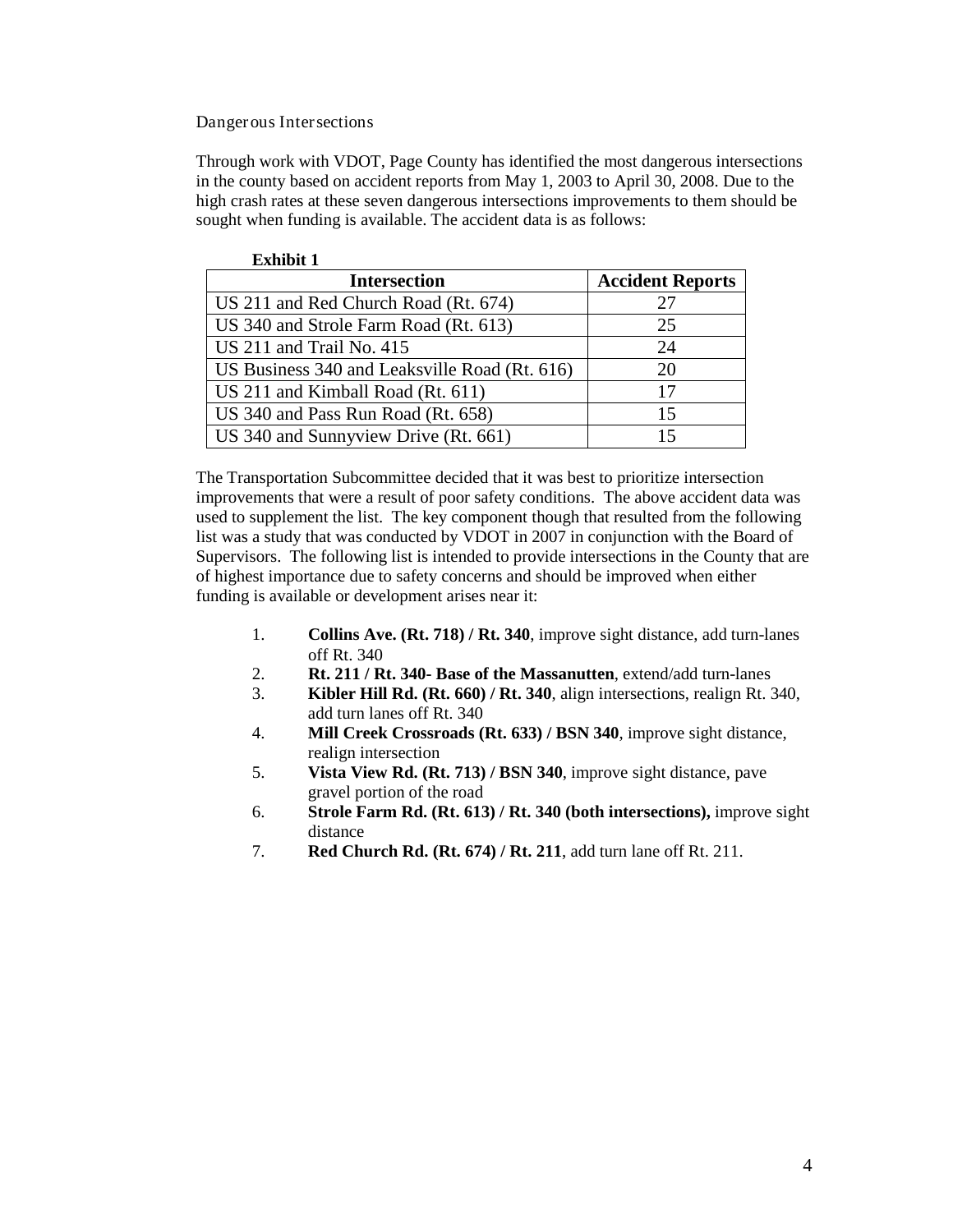Dangerous Intersections

Through work with VDOT, Page County has identified the most dangerous intersections in the county based on accident reports from May 1, 2003 to April 30, 2008. Due to the high crash rates at these seven dangerous intersections improvements to them should be sought when funding is available. The accident data is as follows:

| <b>Exhibit 1</b>                              |                         |
|-----------------------------------------------|-------------------------|
| <b>Intersection</b>                           | <b>Accident Reports</b> |
| US 211 and Red Church Road (Rt. 674)          | 27                      |
| US 340 and Strole Farm Road (Rt. 613)         | 25                      |
| US 211 and Trail No. 415                      | 24                      |
| US Business 340 and Leaksville Road (Rt. 616) | 20                      |
| US 211 and Kimball Road (Rt. 611)             | 17                      |
| US 340 and Pass Run Road (Rt. 658)            | 15                      |
| US 340 and Sunnyview Drive (Rt. 661)          | 15                      |

The Transportation Subcommittee decided that it was best to prioritize intersection improvements that were a result of poor safety conditions. The above accident data was used to supplement the list. The key component though that resulted from the following list was a study that was conducted by VDOT in 2007 in conjunction with the Board of Supervisors. The following list is intended to provide intersections in the County that are of highest importance due to safety concerns and should be improved when either funding is available or development arises near it:

- 1. **Collins Ave. (Rt. 718) / Rt. 340**, improve sight distance, add turn-lanes off Rt. 340
- 2. **Rt. 211 / Rt. 340- Base of the Massanutten**, extend/add turn-lanes
- 3. **Kibler Hill Rd. (Rt. 660) / Rt. 340**, align intersections, realign Rt. 340, add turn lanes off Rt. 340
- 4. **Mill Creek Crossroads (Rt. 633) / BSN 340**, improve sight distance, realign intersection
- 5. **Vista View Rd. (Rt. 713) / BSN 340**, improve sight distance, pave gravel portion of the road
- 6. **Strole Farm Rd. (Rt. 613) / Rt. 340 (both intersections),** improve sight distance
- 7. **Red Church Rd. (Rt. 674) / Rt. 211**, add turn lane off Rt. 211.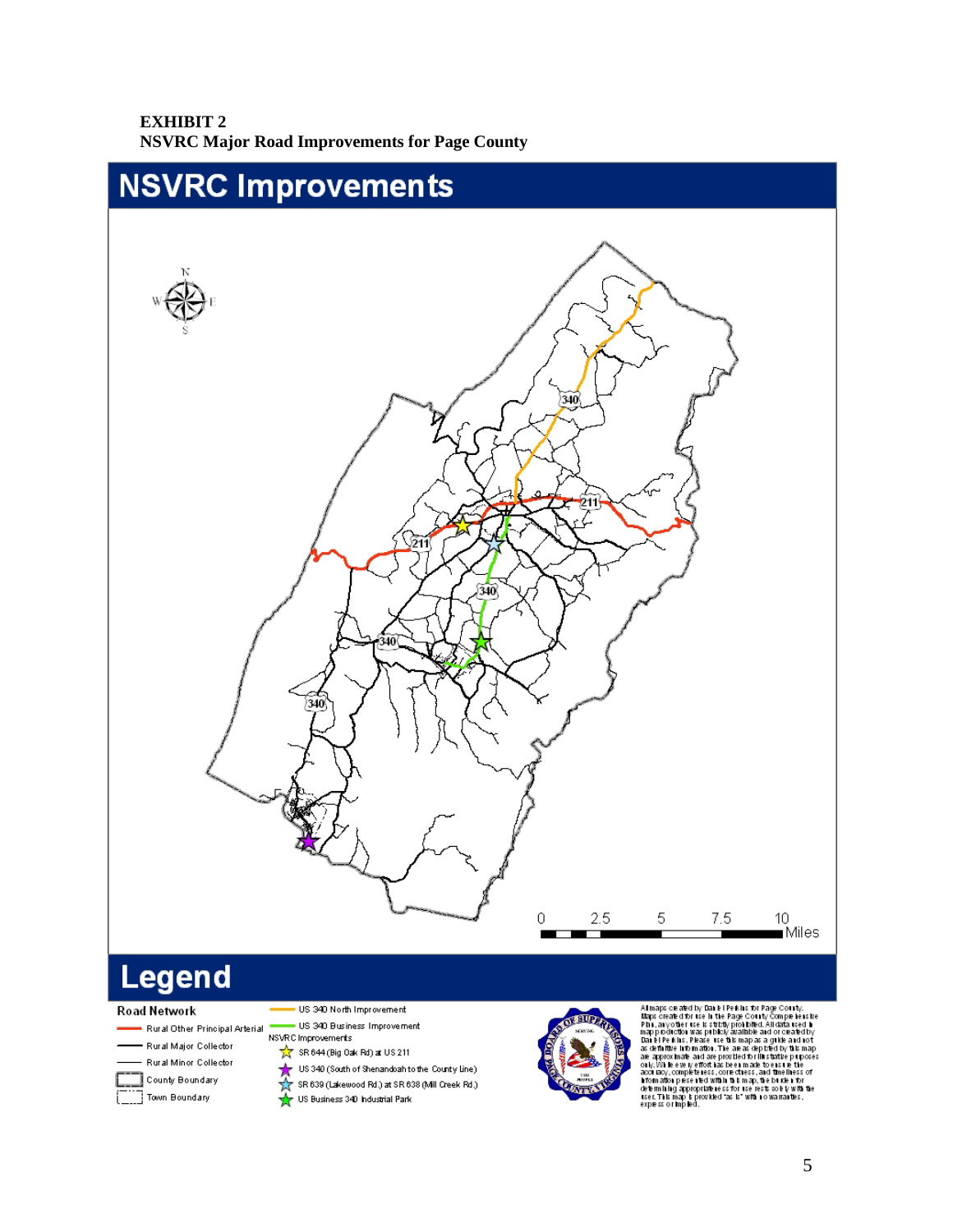#### **EXHIBIT 2 NSVRC Major Road Improvements for Page County**



# Legend

#### Road Network

- Rural Other Principal Arterial
- Rural Major Collector
- Rural Minor Collector
- $\Box$  County Boundary
- Town Boundary
- . US 340 North Improvement US 340 Business Improvement
- ${\hbox{NSVRC}{}~\hbox{Improvements}}$ 
	- $\frac{1}{\sqrt{2}}$  SR 644 (Big Oak Rd) at US 211
	-
	- US 340 (South of Shenandoah to the County Line)<br>
	The SR 639 (Lakewood Rd.) at SR 638 (Mill Creek Rd.)<br>
	The US Business 340 Industrial Park



All maps ce ared by Dan El Pe kins by Page County.<br>
All maps ce ared by Dan El Pe kins by Page County Compe i ensite<br>
Plan, any other tose is strictly problem. All data used in<br>
mapp podice the use publicly are allowed. A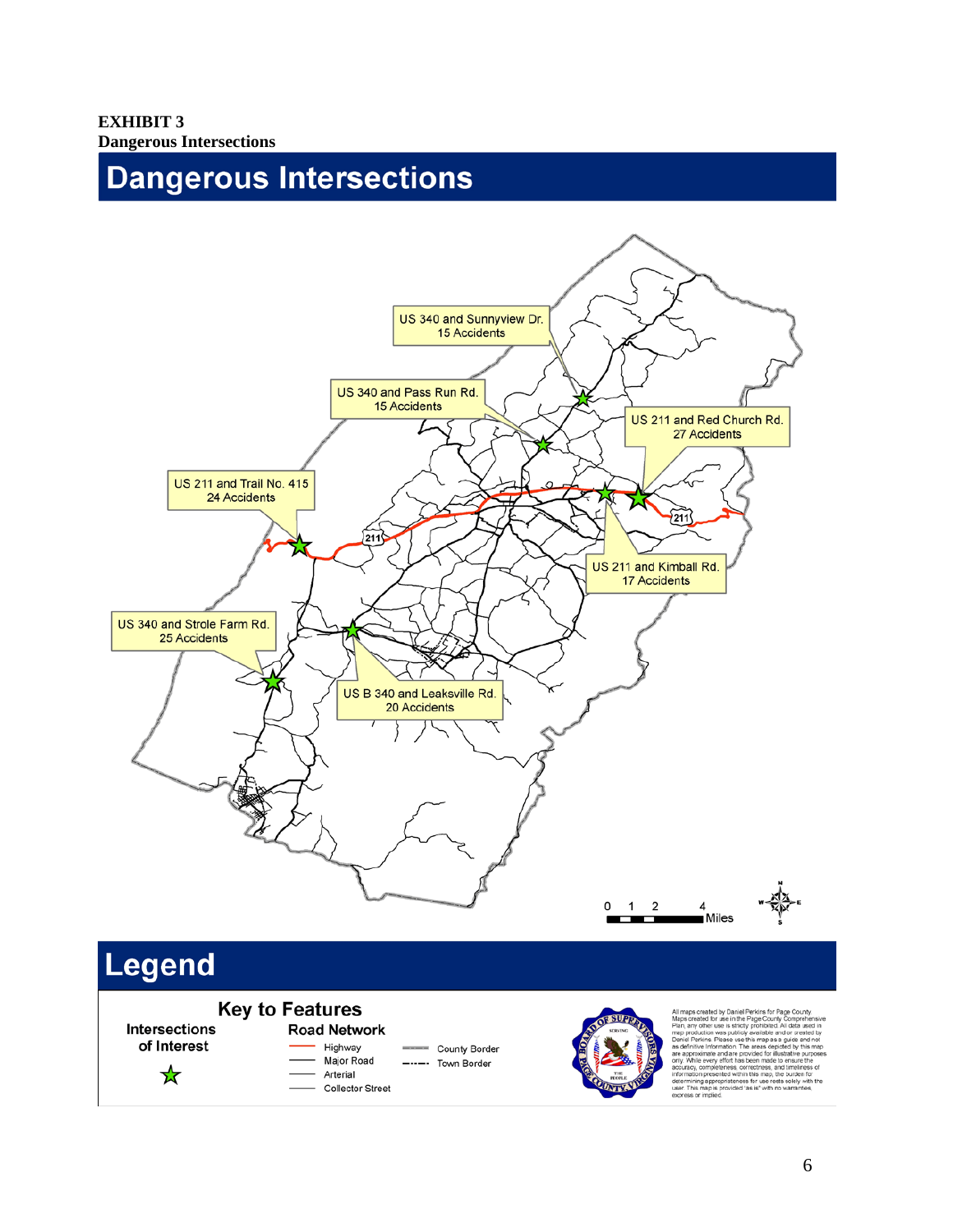**EXHIBIT 3 Dangerous Intersections** 

# Dangerous Intersections



# **Key to Features**

Intersections of Interest

 $\frac{1}{\sqrt{2}}$ 

#### **Road Network** Highway

County Border Major Road ----- Town Border

Arterial - Collector Street



and are tion presented within this map, the burden for<br>ning appropriateness for use rests solely with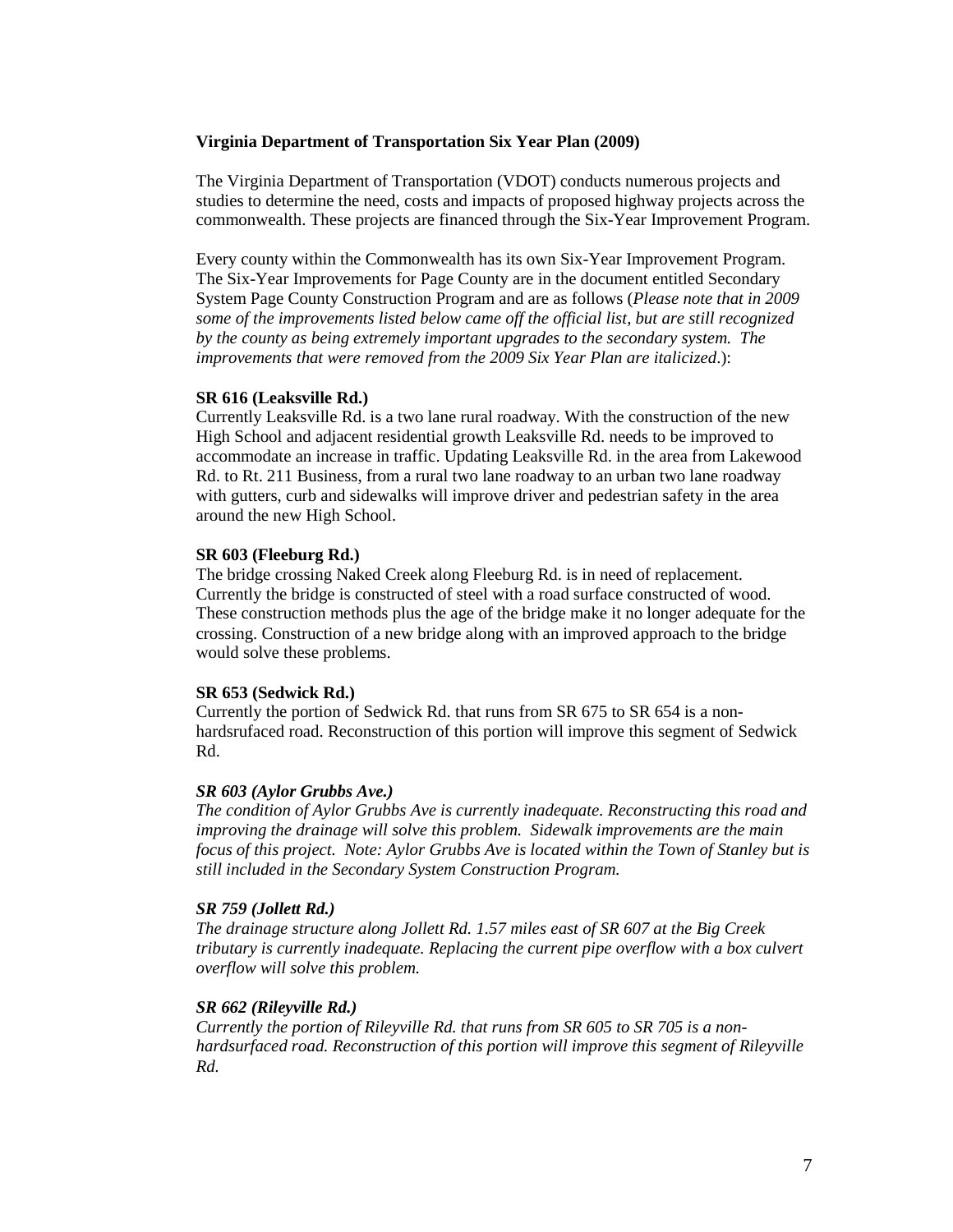#### **Virginia Department of Transportation Six Year Plan (2009)**

The Virginia Department of Transportation (VDOT) conducts numerous projects and studies to determine the need, costs and impacts of proposed highway projects across the commonwealth. These projects are financed through the Six-Year Improvement Program.

Every county within the Commonwealth has its own Six-Year Improvement Program. The Six-Year Improvements for Page County are in the document entitled Secondary System Page County Construction Program and are as follows (*Please note that in 2009 some of the improvements listed below came off the official list, but are still recognized by the county as being extremely important upgrades to the secondary system. The improvements that were removed from the 2009 Six Year Plan are italicized*.):

#### **SR 616 (Leaksville Rd.)**

Currently Leaksville Rd. is a two lane rural roadway. With the construction of the new High School and adjacent residential growth Leaksville Rd. needs to be improved to accommodate an increase in traffic. Updating Leaksville Rd. in the area from Lakewood Rd. to Rt. 211 Business, from a rural two lane roadway to an urban two lane roadway with gutters, curb and sidewalks will improve driver and pedestrian safety in the area around the new High School.

#### **SR 603 (Fleeburg Rd.)**

The bridge crossing Naked Creek along Fleeburg Rd. is in need of replacement. Currently the bridge is constructed of steel with a road surface constructed of wood. These construction methods plus the age of the bridge make it no longer adequate for the crossing. Construction of a new bridge along with an improved approach to the bridge would solve these problems.

#### **SR 653 (Sedwick Rd.)**

Currently the portion of Sedwick Rd. that runs from SR 675 to SR 654 is a nonhardsrufaced road. Reconstruction of this portion will improve this segment of Sedwick Rd.

#### *SR 603 (Aylor Grubbs Ave.)*

*The condition of Aylor Grubbs Ave is currently inadequate. Reconstructing this road and improving the drainage will solve this problem. Sidewalk improvements are the main focus of this project. Note: Aylor Grubbs Ave is located within the Town of Stanley but is still included in the Secondary System Construction Program.*

#### *SR 759 (Jollett Rd.)*

*The drainage structure along Jollett Rd. 1.57 miles east of SR 607 at the Big Creek tributary is currently inadequate. Replacing the current pipe overflow with a box culvert overflow will solve this problem.*

#### *SR 662 (Rileyville Rd.)*

*Currently the portion of Rileyville Rd. that runs from SR 605 to SR 705 is a nonhardsurfaced road. Reconstruction of this portion will improve this segment of Rileyville Rd.*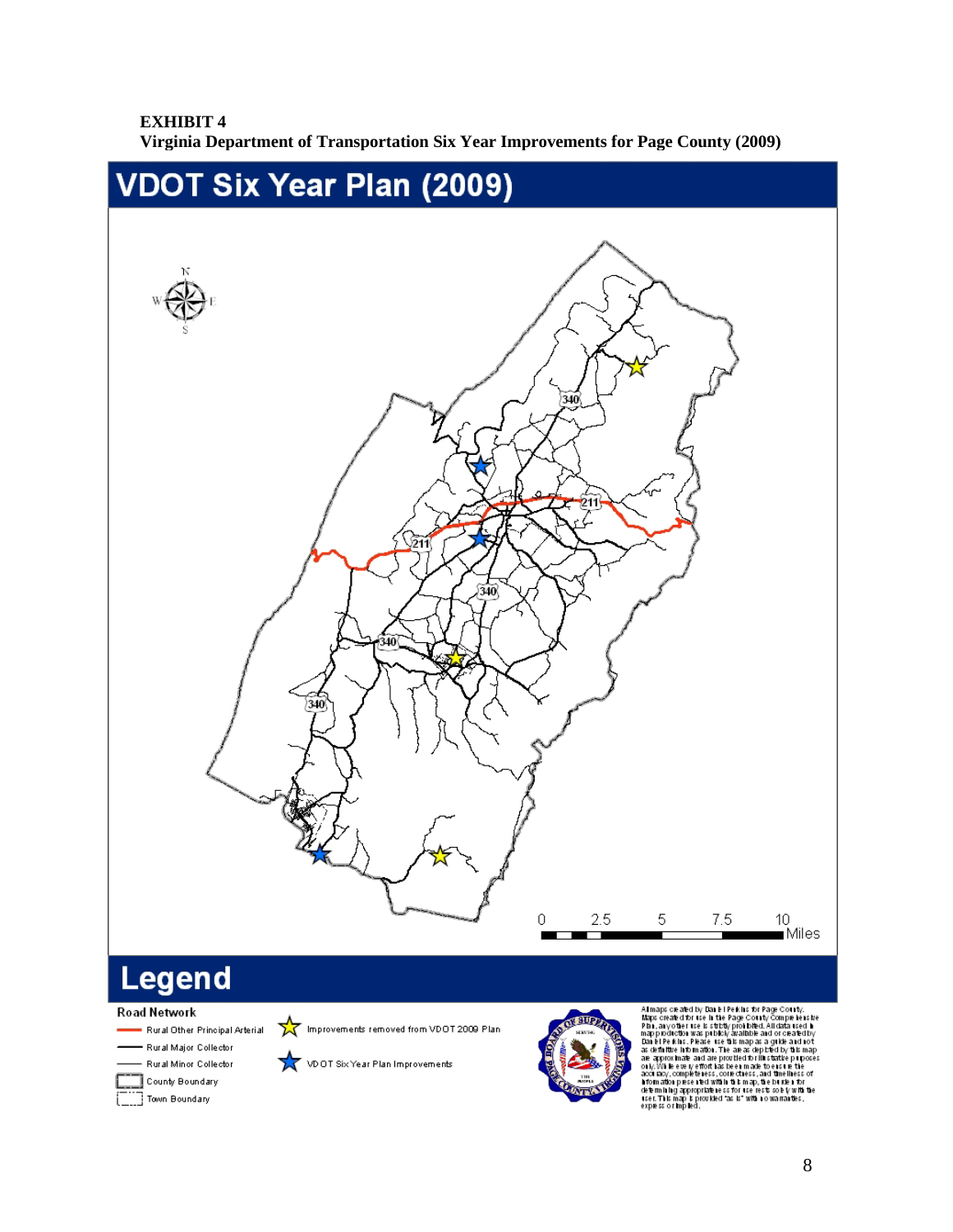### **EXHIBIT 4**

**Virginia Department of Transportation Six Year Improvements for Page County (2009)**



#### Road Network

Rural Other Principal Arterial Rural Major Collector Rural Minor Collector

> County Boundary Town Boundary

Improvements removed from VDOT 2009 Plan

VD OT Six Year Plan Improvements



All maps ceached by Daniel Peiklis for Page County.<br>
Maps created for use in the Page County Comple less te<br>
Plan, any other use is strictly problem! All data used in<br>
mapp positication was publicly analished. All data ar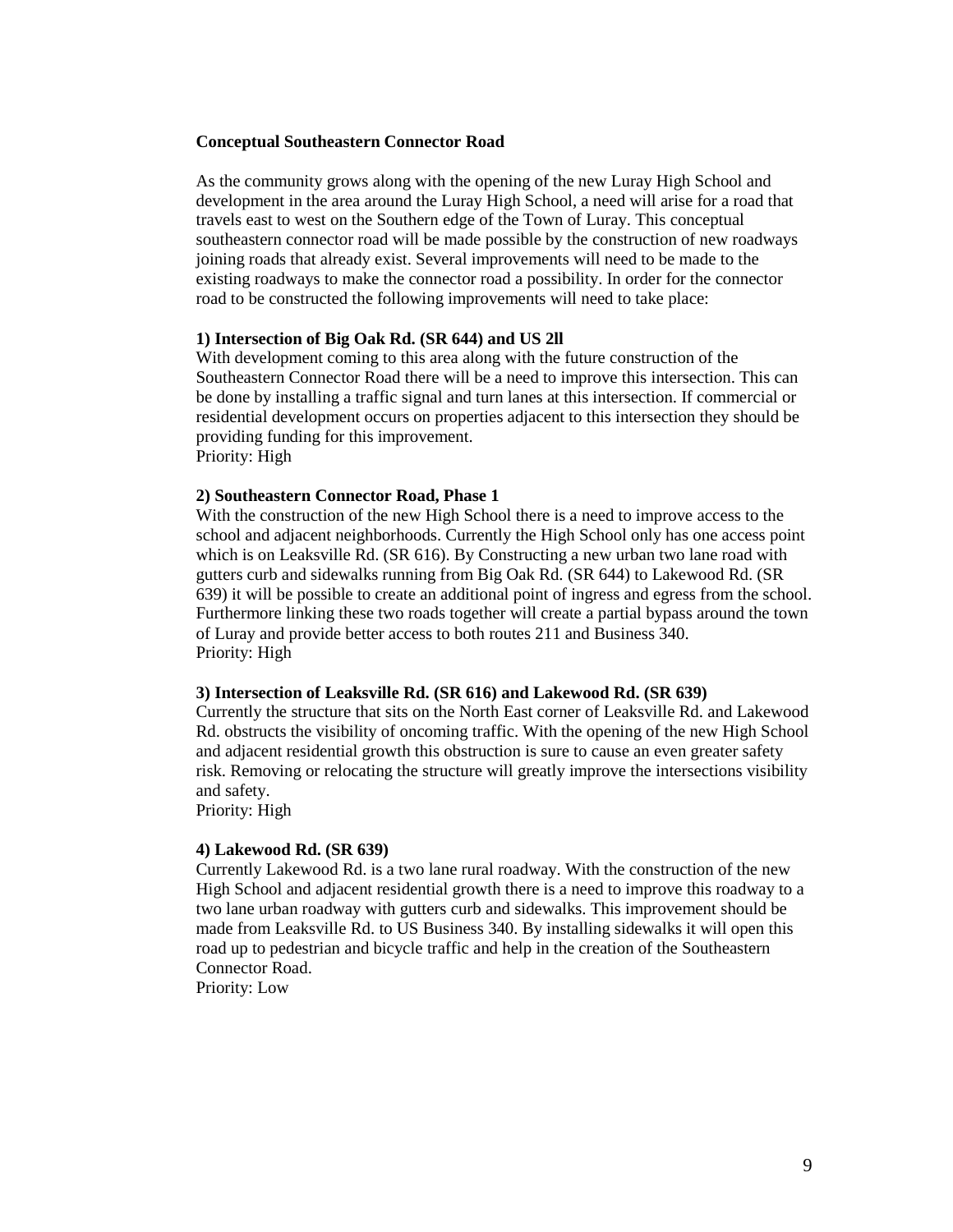#### **Conceptual Southeastern Connector Road**

As the community grows along with the opening of the new Luray High School and development in the area around the Luray High School, a need will arise for a road that travels east to west on the Southern edge of the Town of Luray. This conceptual southeastern connector road will be made possible by the construction of new roadways joining roads that already exist. Several improvements will need to be made to the existing roadways to make the connector road a possibility. In order for the connector road to be constructed the following improvements will need to take place:

#### **1) Intersection of Big Oak Rd. (SR 644) and US 2ll**

With development coming to this area along with the future construction of the Southeastern Connector Road there will be a need to improve this intersection. This can be done by installing a traffic signal and turn lanes at this intersection. If commercial or residential development occurs on properties adjacent to this intersection they should be providing funding for this improvement. Priority: High

#### **2) Southeastern Connector Road, Phase 1**

With the construction of the new High School there is a need to improve access to the school and adjacent neighborhoods. Currently the High School only has one access point which is on Leaksville Rd. (SR 616). By Constructing a new urban two lane road with gutters curb and sidewalks running from Big Oak Rd. (SR 644) to Lakewood Rd. (SR 639) it will be possible to create an additional point of ingress and egress from the school. Furthermore linking these two roads together will create a partial bypass around the town of Luray and provide better access to both routes 211 and Business 340. Priority: High

#### **3) Intersection of Leaksville Rd. (SR 616) and Lakewood Rd. (SR 639)**

Currently the structure that sits on the North East corner of Leaksville Rd. and Lakewood Rd. obstructs the visibility of oncoming traffic. With the opening of the new High School and adjacent residential growth this obstruction is sure to cause an even greater safety risk. Removing or relocating the structure will greatly improve the intersections visibility and safety.

Priority: High

#### **4) Lakewood Rd. (SR 639)**

Currently Lakewood Rd. is a two lane rural roadway. With the construction of the new High School and adjacent residential growth there is a need to improve this roadway to a two lane urban roadway with gutters curb and sidewalks. This improvement should be made from Leaksville Rd. to US Business 340. By installing sidewalks it will open this road up to pedestrian and bicycle traffic and help in the creation of the Southeastern Connector Road.

Priority: Low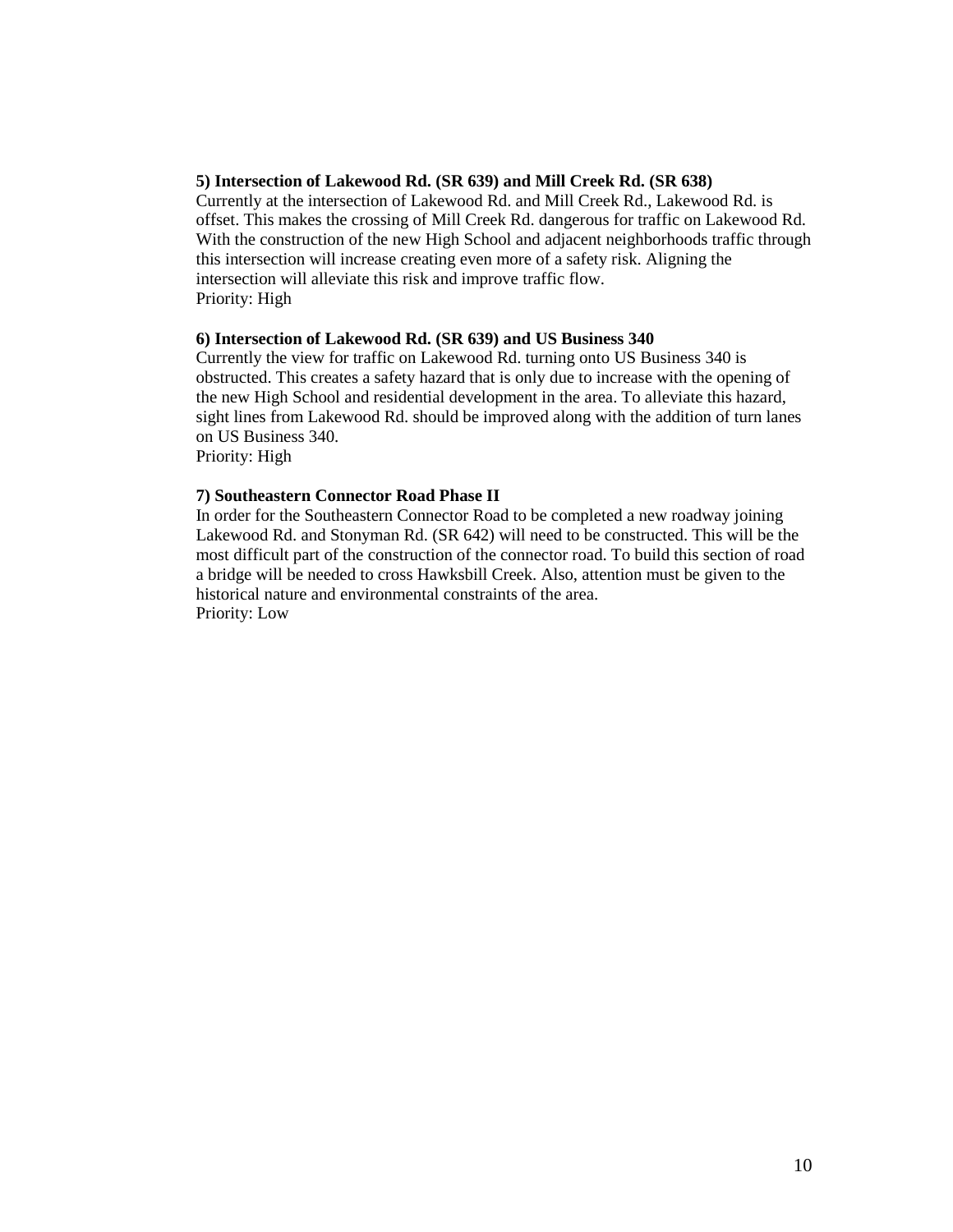#### **5) Intersection of Lakewood Rd. (SR 639) and Mill Creek Rd. (SR 638)**

Currently at the intersection of Lakewood Rd. and Mill Creek Rd., Lakewood Rd. is offset. This makes the crossing of Mill Creek Rd. dangerous for traffic on Lakewood Rd. With the construction of the new High School and adjacent neighborhoods traffic through this intersection will increase creating even more of a safety risk. Aligning the intersection will alleviate this risk and improve traffic flow. Priority: High

#### **6) Intersection of Lakewood Rd. (SR 639) and US Business 340**

Currently the view for traffic on Lakewood Rd. turning onto US Business 340 is obstructed. This creates a safety hazard that is only due to increase with the opening of the new High School and residential development in the area. To alleviate this hazard, sight lines from Lakewood Rd. should be improved along with the addition of turn lanes on US Business 340.

Priority: High

#### **7) Southeastern Connector Road Phase II**

In order for the Southeastern Connector Road to be completed a new roadway joining Lakewood Rd. and Stonyman Rd. (SR 642) will need to be constructed. This will be the most difficult part of the construction of the connector road. To build this section of road a bridge will be needed to cross Hawksbill Creek. Also, attention must be given to the historical nature and environmental constraints of the area. Priority: Low